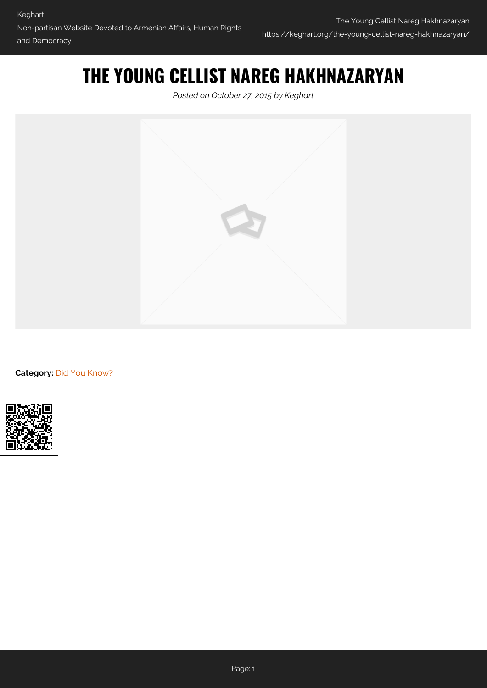## **THE YOUNG CELLIST NAREG HAKHNAZARYAN**

*Posted on October 27, 2015 by Keghart*



**Category: [Did You Know?](https://keghart.org/category/did-you-know/)**